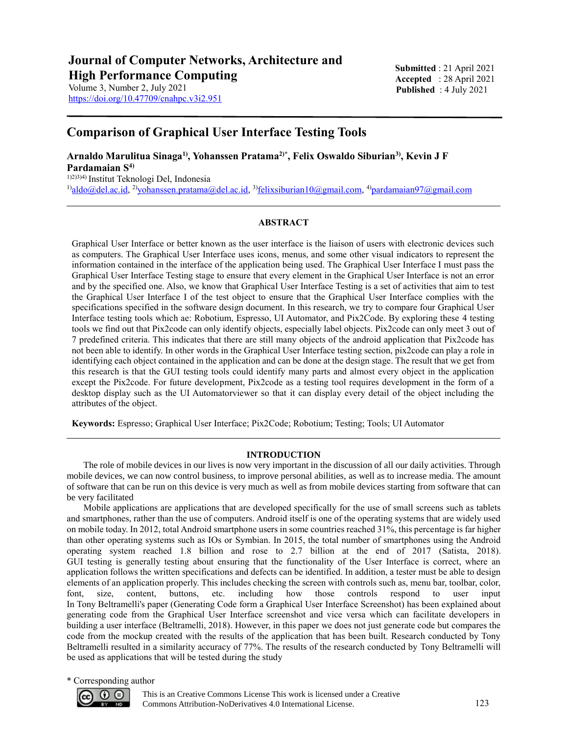https://doi.org/10.47709/cnahpc.v3i2.951

**Submitted** : 21 April 2021 **Accepted** : 28 April 2021 **Published** : 4 July 2021

# **Comparison of Graphical User Interface Testing Tools**

**Arnaldo Marulitua Sinaga1) , Yohanssen Pratama2)\* , Felix Oswaldo Siburian3) , Kevin J F Pardamaian S4)** 1)2)3)4) Institut Teknologi Del, Indonesia

<sup>1)</sup>[aldo@del.ac.id,](mailto:email@email.com) <sup>2)</sup>[yohanssen.pratama@del.ac.id,](mailto:yohanssen.pratama@del.ac.id) <sup>3)</sup>felixsiburian10@gmail.com, <sup>4)</sup>[pardamaian97@gmail.com](mailto:pardamaianam)

# **ABSTRACT**

Graphical User Interface or better known as the user interface is the liaison of users with electronic devices such as computers. The Graphical User Interface uses icons, menus, and some other visual indicators to represent the information contained in the interface of the application being used. The Graphical User Interface I must pass the Graphical User Interface Testing stage to ensure that every element in the Graphical User Interface is not an error and by the specified one. Also, we know that Graphical User Interface Testing is a set of activities that aim to test the Graphical User Interface I of the test object to ensure that the Graphical User Interface complies with the specifications specified in the software design document. In this research, we try to compare four Graphical User Interface testing tools which ae: Robotium, Espresso, UI Automator, and Pix2Code. By exploring these 4 testing tools we find out that Pix2code can only identify objects, especially label objects. Pix2code can only meet 3 out of 7 predefined criteria. This indicates that there are still many objects of the android application that Pix2code has not been able to identify. In other words in the Graphical User Interface testing section, pix2code can play a role in identifying each object contained in the application and can be done at the design stage. The result that we get from this research is that the GUI testing tools could identify many parts and almost every object in the application except the Pix2code. For future development, Pix2code as a testing tool requires development in the form of a desktop display such as the UI Automatorviewer so that it can display every detail of the object including the attributes of the object.

**Keywords:** Espresso; Graphical User Interface; Pix2Code; Robotium; Testing; Tools; UI Automator

# **INTRODUCTION**

The role of mobile devices in our lives is now very important in the discussion of all our daily activities. Through mobile devices, we can now control business, to improve personal abilities, as well as to increase media. The amount of software that can be run on this device is very much as well as from mobile devices starting from software that can be very facilitated

Mobile applications are applications that are developed specifically for the use of small screens such as tablets and smartphones, rather than the use of computers. Android itself is one of the operating systems that are widely used on mobile today. In 2012, total Android smartphone users in some countries reached 31%, this percentage is far higher than other operating systems such as IOs or Symbian. In 2015, the total number of smartphones using the Android operating system reached 1.8 billion and rose to 2.7 billion at the end of 2017 (Satista, 2018). GUI testing is generally testing about ensuring that the functionality of the User Interface is correct, where an application follows the written specifications and defects can be identified. In addition, a tester must be able to design elements of an application properly. This includes checking the screen with controls such as, menu bar, toolbar, color, font, size, content, buttons, etc. including how those controls respond to user input In Tony Beltramelli's paper (Generating Code form a Graphical User Interface Screenshot) has been explained about generating code from the Graphical User Interface screenshot and vice versa which can facilitate developers in building a user interface (Beltramelli, 2018). However, in this paper we does not just generate code but compares the code from the mockup created with the results of the application that has been built. Research conducted by Tony Beltramelli resulted in a similarity accuracy of 77%. The results of the research conducted by Tony Beltramelli will be used as applications that will be tested during the study

\* Corresponding author



This is an Creative Commons License This work is licensed under a Creative Commons Attribution-NoDerivatives 4.0 International License. 123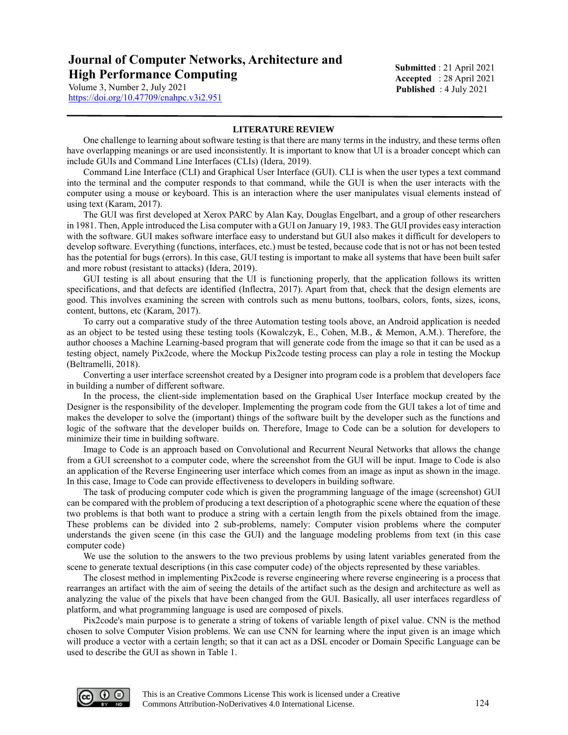**Submitted** : 21 April 2021 **Accepted** : 28 April 2021 **Published** : 4 July 2021

https://doi.org/10.47709/cnahpc.v3i2.951

### **LITERATURE REVIEW**

One challenge to learning about software testing is that there are many terms in the industry, and these terms often have overlapping meanings or are used inconsistently. It is important to know that UI is a broader concept which can include GUIs and Command Line Interfaces (CLIs) (Idera, 2019).

Command Line Interface (CLI) and Graphical User Interface (GUI). CLI is when the user types a text command into the terminal and the computer responds to that command, while the GUI is when the user interacts with the computer using a mouse or keyboard. This is an interaction where the user manipulates visual elements instead of using text (Karam, 2017).

The GUI was first developed at Xerox PARC by Alan Kay, Douglas Engelbart, and a group of other researchers in 1981. Then, Apple introduced the Lisa computer with a GUI on January 19, 1983. The GUI provides easy interaction with the software. GUI makes software interface easy to understand but GUI also makes it difficult for developers to develop software. Everything (functions, interfaces, etc.) must be tested, because code that is not or has not been tested has the potential for bugs (errors). In this case, GUI testing is important to make all systems that have been built safer and more robust (resistant to attacks) (Idera, 2019).

GUI testing is all about ensuring that the UI is functioning properly, that the application follows its written specifications, and that defects are identified (Inflectra, 2017). Apart from that, check that the design elements are good. This involves examining the screen with controls such as menu buttons, toolbars, colors, fonts, sizes, icons, content, buttons, etc (Karam, 2017).

To carry out a comparative study of the three Automation testing tools above, an Android application is needed as an object to be tested using these testing tools (Kowalczyk, E., Cohen, M.B., & Memon, A.M.). Therefore, the author chooses a Machine Learning-based program that will generate code from the image so that it can be used as a testing object, namely Pix2code, where the Mockup Pix2code testing process can play a role in testing the Mockup (Beltramelli, 2018).

Converting a user interface screenshot created by a Designer into program code is a problem that developers face in building a number of different software.

In the process, the client-side implementation based on the Graphical User Interface mockup created by the Designer is the responsibility of the developer. Implementing the program code from the GUI takes a lot of time and makes the developer to solve the (important) things of the software built by the developer such as the functions and logic of the software that the developer builds on. Therefore, Image to Code can be a solution for developers to minimize their time in building software.

Image to Code is an approach based on Convolutional and Recurrent Neural Networks that allows the change from a GUI screenshot to a computer code, where the screenshot from the GUI will be input. Image to Code is also an application of the Reverse Engineering user interface which comes from an image as input as shown in the image. In this case, Image to Code can provide effectiveness to developers in building software.

The task of producing computer code which is given the programming language of the image (screenshot) GUI can be compared with the problem of producing a text description of a photographic scene where the equation of these two problems is that both want to produce a string with a certain length from the pixels obtained from the image. These problems can be divided into 2 sub-problems, namely: Computer vision problems where the computer understands the given scene (in this case the GUI) and the language modeling problems from text (in this case computer code)

We use the solution to the answers to the two previous problems by using latent variables generated from the scene to generate textual descriptions (in this case computer code) of the objects represented by these variables.

The closest method in implementing Pix2code is reverse engineering where reverse engineering is a process that rearranges an artifact with the aim of seeing the details of the artifact such as the design and architecture as well as analyzing the value of the pixels that have been changed from the GUI. Basically, all user interfaces regardless of platform, and what programming language is used are composed of pixels.

Pix2code's main purpose is to generate a string of tokens of variable length of pixel value. CNN is the method chosen to solve Computer Vision problems. We can use CNN for learning where the input given is an image which will produce a vector with a certain length; so that it can act as a DSL encoder or Domain Specific Language can be used to describe the GUI as shown in Table 1.

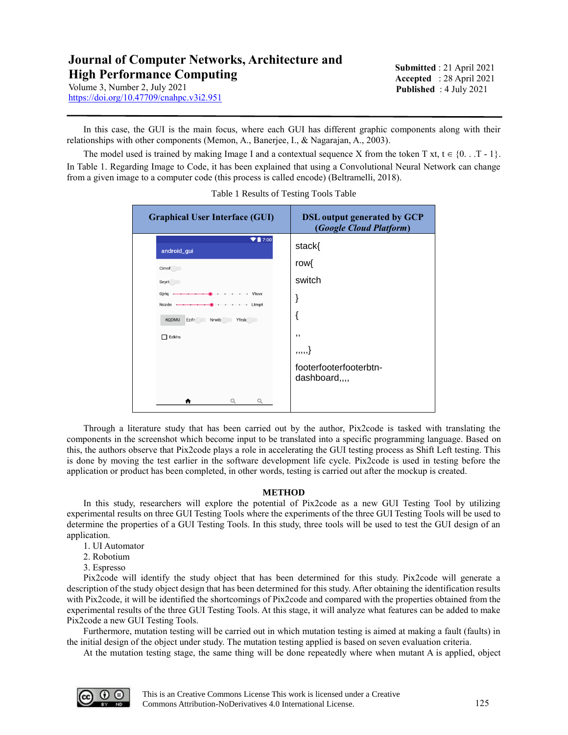**Submitted** : 21 April 2021 **Accepted** : 28 April 2021 **Published** : 4 July 2021

https://doi.org/10.47709/cnahpc.v3i2.951

In this case, the GUI is the main focus, where each GUI has different graphic components along with their relationships with other components (Memon, A., Banerjee, I., & Nagarajan, A., 2003).

The model used is trained by making Image I and a contextual sequence X from the token T xt,  $t \in \{0, . . . . . . . \}$ In Table 1. Regarding Image to Code, it has been explained that using a Convolutional Neural Network can change from a given image to a computer code (this process is called encode) (Beltramelli, 2018).

| <b>Graphical User Interface (GUI)</b>          | <b>DSL</b> output generated by GCP<br>(Google Cloud Platform) |
|------------------------------------------------|---------------------------------------------------------------|
| $\blacktriangledown$ 7:00<br>android_gui       | stack{                                                        |
| Cimnf                                          | row{                                                          |
| Seyrt                                          | switch                                                        |
| Gjrlg<br>- Visvx<br>Nczdn<br>Ltmpt<br>$\cdots$ | ì                                                             |
| Nrwib Yfrsk<br><b>KQDMU</b><br>Ezifr           |                                                               |
| Edkhs                                          | ,,                                                            |
|                                                | ,,,,,                                                         |
|                                                | footerfooterfooterbtn-<br>dashboard,,,,                       |
| Q                                              |                                                               |

Table 1 Results of Testing Tools Table

Through a literature study that has been carried out by the author, Pix2code is tasked with translating the components in the screenshot which become input to be translated into a specific programming language. Based on this, the authors observe that Pix2code plays a role in accelerating the GUI testing process as Shift Left testing. This is done by moving the test earlier in the software development life cycle. Pix2code is used in testing before the application or product has been completed, in other words, testing is carried out after the mockup is created.

## **METHOD**

In this study, researchers will explore the potential of Pix2code as a new GUI Testing Tool by utilizing experimental results on three GUI Testing Tools where the experiments of the three GUI Testing Tools will be used to determine the properties of a GUI Testing Tools. In this study, three tools will be used to test the GUI design of an application.

- 1. UI Automator
- 2. Robotium
- 3. Espresso

Pix2code will identify the study object that has been determined for this study. Pix2code will generate a description of the study object design that has been determined for this study. After obtaining the identification results with Pix2code, it will be identified the shortcomings of Pix2code and compared with the properties obtained from the experimental results of the three GUI Testing Tools. At this stage, it will analyze what features can be added to make Pix2code a new GUI Testing Tools.

Furthermore, mutation testing will be carried out in which mutation testing is aimed at making a fault (faults) in the initial design of the object under study. The mutation testing applied is based on seven evaluation criteria.

At the mutation testing stage, the same thing will be done repeatedly where when mutant A is applied, object

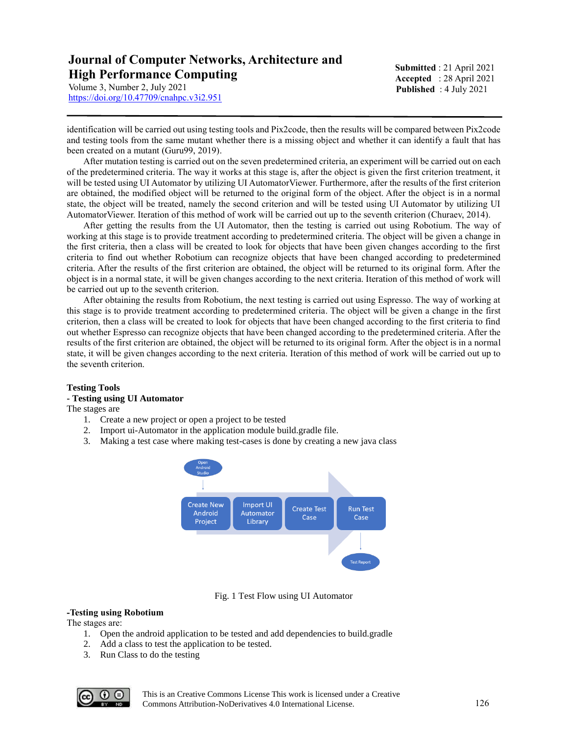**Submitted** : 21 April 2021 **Accepted** : 28 April 2021 **Published** : 4 July 2021

https://doi.org/10.47709/cnahpc.v3i2.951

identification will be carried out using testing tools and Pix2code, then the results will be compared between Pix2code and testing tools from the same mutant whether there is a missing object and whether it can identify a fault that has been created on a mutant (Guru99, 2019).

After mutation testing is carried out on the seven predetermined criteria, an experiment will be carried out on each of the predetermined criteria. The way it works at this stage is, after the object is given the first criterion treatment, it will be tested using UI Automator by utilizing UI AutomatorViewer. Furthermore, after the results of the first criterion are obtained, the modified object will be returned to the original form of the object. After the object is in a normal state, the object will be treated, namely the second criterion and will be tested using UI Automator by utilizing UI AutomatorViewer. Iteration of this method of work will be carried out up to the seventh criterion (Churaev, 2014).

After getting the results from the UI Automator, then the testing is carried out using Robotium. The way of working at this stage is to provide treatment according to predetermined criteria. The object will be given a change in the first criteria, then a class will be created to look for objects that have been given changes according to the first criteria to find out whether Robotium can recognize objects that have been changed according to predetermined criteria. After the results of the first criterion are obtained, the object will be returned to its original form. After the object is in a normal state, it will be given changes according to the next criteria. Iteration of this method of work will be carried out up to the seventh criterion.

After obtaining the results from Robotium, the next testing is carried out using Espresso. The way of working at this stage is to provide treatment according to predetermined criteria. The object will be given a change in the first criterion, then a class will be created to look for objects that have been changed according to the first criteria to find out whether Espresso can recognize objects that have been changed according to the predetermined criteria. After the results of the first criterion are obtained, the object will be returned to its original form. After the object is in a normal state, it will be given changes according to the next criteria. Iteration of this method of work will be carried out up to the seventh criterion.

## **Testing Tools**

## **- Testing using UI Automator**

The stages are

- 1. Create a new project or open a project to be tested
- 2. Import ui-Automator in the application module build.gradle file.
- 3. Making a test case where making test-cases is done by creating a new java class



Fig. 1 Test Flow using UI Automator

## **-Testing using Robotium**

The stages are:

- 1. Open the android application to be tested and add dependencies to build.gradle
- 2. Add a class to test the application to be tested.
- 3. Run Class to do the testing

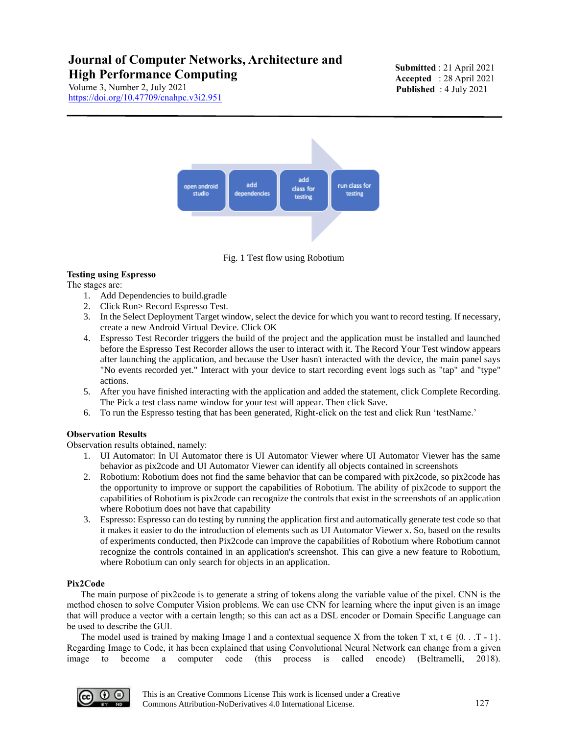Volume 3, Number 2, July 2021 https://doi.org/10.47709/cnahpc.v3i2.951 **Submitted** : 21 April 2021 **Accepted** : 28 April 2021 **Published** : 4 July 2021



Fig. 1 Test flow using Robotium

## **Testing using Espresso**

The stages are:

- 1. Add Dependencies to build.gradle
- 2. Click Run> Record Espresso Test.
- 3. In the Select Deployment Target window, select the device for which you want to record testing. If necessary, create a new Android Virtual Device. Click OK
- 4. Espresso Test Recorder triggers the build of the project and the application must be installed and launched before the Espresso Test Recorder allows the user to interact with it. The Record Your Test window appears after launching the application, and because the User hasn't interacted with the device, the main panel says "No events recorded yet." Interact with your device to start recording event logs such as "tap" and "type" actions.
- 5. After you have finished interacting with the application and added the statement, click Complete Recording. The Pick a test class name window for your test will appear. Then click Save.
- 6. To run the Espresso testing that has been generated, Right-click on the test and click Run 'testName.'

# **Observation Results**

Observation results obtained, namely:

- 1. UI Automator: In UI Automator there is UI Automator Viewer where UI Automator Viewer has the same behavior as pix2code and UI Automator Viewer can identify all objects contained in screenshots
- 2. Robotium: Robotium does not find the same behavior that can be compared with pix2code, so pix2code has the opportunity to improve or support the capabilities of Robotium. The ability of pix2code to support the capabilities of Robotium is pix2code can recognize the controls that exist in the screenshots of an application where Robotium does not have that capability
- 3. Espresso: Espresso can do testing by running the application first and automatically generate test code so that it makes it easier to do the introduction of elements such as UI Automator Viewer x. So, based on the results of experiments conducted, then Pix2code can improve the capabilities of Robotium where Robotium cannot recognize the controls contained in an application's screenshot. This can give a new feature to Robotium, where Robotium can only search for objects in an application.

## **Pix2Code**

 The main purpose of pix2code is to generate a string of tokens along the variable value of the pixel. CNN is the method chosen to solve Computer Vision problems. We can use CNN for learning where the input given is an image that will produce a vector with a certain length; so this can act as a DSL encoder or Domain Specific Language can be used to describe the GUI.

The model used is trained by making Image I and a contextual sequence X from the token T xt,  $t \in \{0, . . . . . . . \}$ . Regarding Image to Code, it has been explained that using Convolutional Neural Network can change from a given image to become a computer code (this process is called encode) (Beltramelli, 2018).

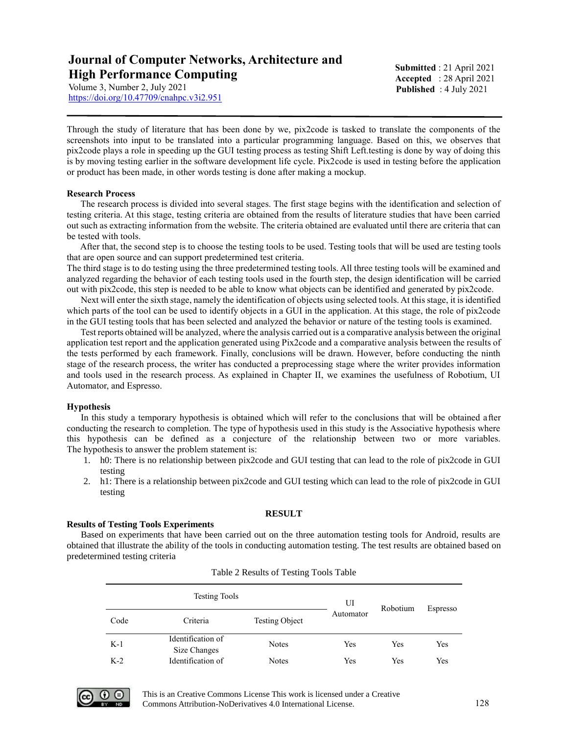https://doi.org/10.47709/cnahpc.v3i2.951

**Submitted** : 21 April 2021 **Accepted** : 28 April 2021 **Published** : 4 July 2021

Through the study of literature that has been done by we, pix2code is tasked to translate the components of the screenshots into input to be translated into a particular programming language. Based on this, we observes that pix2code plays a role in speeding up the GUI testing process as testing Shift Left.testing is done by way of doing this is by moving testing earlier in the software development life cycle. Pix2code is used in testing before the application or product has been made, in other words testing is done after making a mockup.

## **Research Process**

 The research process is divided into several stages. The first stage begins with the identification and selection of testing criteria. At this stage, testing criteria are obtained from the results of literature studies that have been carried out such as extracting information from the website. The criteria obtained are evaluated until there are criteria that can be tested with tools.

 After that, the second step is to choose the testing tools to be used. Testing tools that will be used are testing tools that are open source and can support predetermined test criteria.

The third stage is to do testing using the three predetermined testing tools. All three testing tools will be examined and analyzed regarding the behavior of each testing tools used in the fourth step, the design identification will be carried out with pix2code, this step is needed to be able to know what objects can be identified and generated by pix2code.

 Next will enter the sixth stage, namely the identification of objects using selected tools. At this stage, it is identified which parts of the tool can be used to identify objects in a GUI in the application. At this stage, the role of pix2code in the GUI testing tools that has been selected and analyzed the behavior or nature of the testing tools is examined.

 Test reports obtained will be analyzed, where the analysis carried out is a comparative analysis between the original application test report and the application generated using Pix2code and a comparative analysis between the results of the tests performed by each framework. Finally, conclusions will be drawn. However, before conducting the ninth stage of the research process, the writer has conducted a preprocessing stage where the writer provides information and tools used in the research process. As explained in Chapter II, we examines the usefulness of Robotium, UI Automator, and Espresso.

## **Hypothesis**

 In this study a temporary hypothesis is obtained which will refer to the conclusions that will be obtained after conducting the research to completion. The type of hypothesis used in this study is the Associative hypothesis where this hypothesis can be defined as a conjecture of the relationship between two or more variables. The hypothesis to answer the problem statement is:

- 1. h0: There is no relationship between pix2code and GUI testing that can lead to the role of pix2code in GUI testing
- 2. h1: There is a relationship between pix2code and GUI testing which can lead to the role of pix2code in GUI testing

#### **RESULT**

#### **Results of Testing Tools Experiments**

Based on experiments that have been carried out on the three automation testing tools for Android, results are obtained that illustrate the ability of the tools in conducting automation testing. The test results are obtained based on predetermined testing criteria

| <b>Testing Tools</b> |                                   |                       | UI        | Robotium | Espresso |  |
|----------------------|-----------------------------------|-----------------------|-----------|----------|----------|--|
| Code                 | Criteria                          | <b>Testing Object</b> | Automator |          |          |  |
| $K-1$                | Identification of<br>Size Changes | <b>Notes</b>          | Yes       | Yes      | Yes      |  |
| $K-2$                | Identification of                 | <b>Notes</b>          | Yes       | Yes      | Yes      |  |

Table 2 Results of Testing Tools Table



This is an Creative Commons License This work is licensed under a Creative Commons Attribution-NoDerivatives 4.0 International License. 128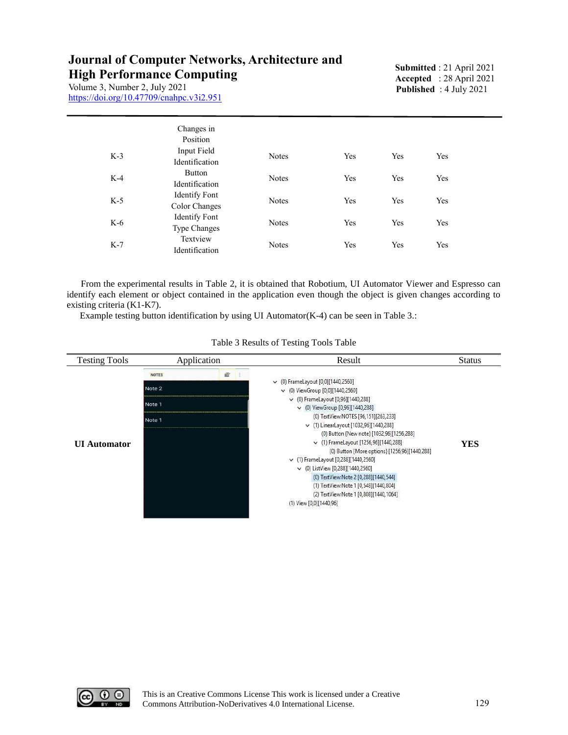Volume 3, Number 2, July 2021 https://doi.org/10.47709/cnahpc.v3i2.951 **Submitted** : 21 April 2021 **Accepted** : 28 April 2021 **Published** : 4 July 2021

|       | Changes in<br>Position                      |              |     |     |     |  |
|-------|---------------------------------------------|--------------|-----|-----|-----|--|
| $K-3$ | Input Field<br>Identification               | <b>Notes</b> | Yes | Yes | Yes |  |
| $K-4$ | Button<br>Identification                    | <b>Notes</b> | Yes | Yes | Yes |  |
| $K-5$ | Identify Font<br>Color Changes              | <b>Notes</b> | Yes | Yes | Yes |  |
| $K-6$ | <b>Identify Font</b><br><b>Type Changes</b> | <b>Notes</b> | Yes | Yes | Yes |  |
| $K-7$ | Textview<br>Identification                  | <b>Notes</b> | Yes | Yes | Yes |  |

 From the experimental results in Table 2, it is obtained that Robotium, UI Automator Viewer and Espresso can identify each element or object contained in the application even though the object is given changes according to existing criteria (K1-K7).

Example testing button identification by using UI Automator(K-4) can be seen in Table 3.:

| <b>Testing Tools</b> | Application                                |   | Result                                                                                                                                                                                                                                                                                                                                                                                                                                                                                                                                                                                                                                 | <b>Status</b> |
|----------------------|--------------------------------------------|---|----------------------------------------------------------------------------------------------------------------------------------------------------------------------------------------------------------------------------------------------------------------------------------------------------------------------------------------------------------------------------------------------------------------------------------------------------------------------------------------------------------------------------------------------------------------------------------------------------------------------------------------|---------------|
| <b>UI</b> Automator  | <b>NOTES</b><br>Note 2<br>Note 1<br>Note 1 | e | $\vee$ (0) FrameLayout [0,0][1440,2560]<br>$\vee$ (0) ViewGroup [0,0][1440,2560]<br>$\vee$ (0) FrameLayout [0,96][1440,288]<br>$\vee$ (0) ViewGroup [0,96][1440,288]<br>(0) TextView:NOTES [96,151][263,233]<br>↓ (1) LinearLayout [1032,96][1440,288]<br>(0) Button {New note} [1032,96][1256,288]<br>↓ (1) FrameLayout [1256,96][1440,288]<br>(0) Button {More options} [1256,96][1440,288]<br>v (1) FrameLayout [0,288][1440,2560]<br>$\vee$ (0) ListView [0,288][1440,2560]<br>(0) TextView:Note 2 [0,288][1440,544]<br>(1) TextView:Note 1 [0,548][1440,804]<br>(2) TextView:Note 1 [0,808][1440,1064]<br>(1) View [0,0][1440,96] | <b>YES</b>    |

Table 3 Results of Testing Tools Table

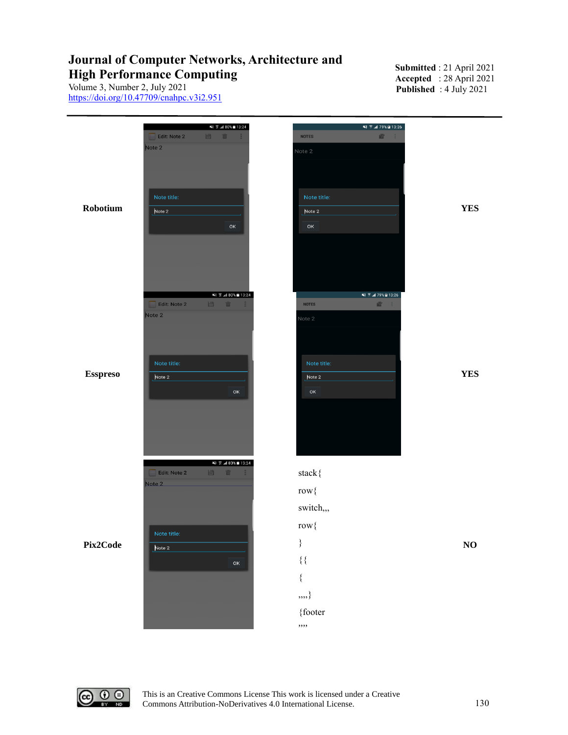**Submitted** : 21 April 2021 **Accepted** : 28 April 2021 **Published** : 4 July 2021

Volume 3, Number 2, July 2021 https://doi.org/10.47709/cnahpc.v3i2.951





This is an Creative Commons License This work is licensed under a Creative Commons Attribution-NoDerivatives 4.0 International License. 130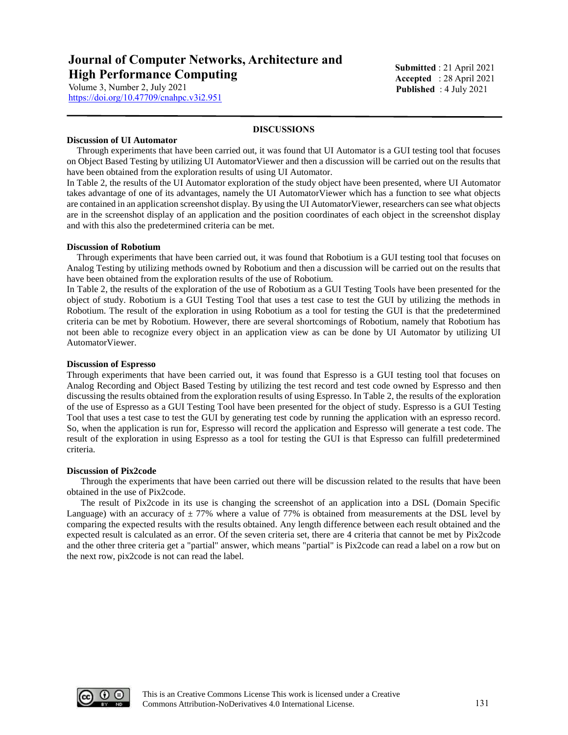https://doi.org/10.47709/cnahpc.v3i2.951

**Submitted** : 21 April 2021 **Accepted** : 28 April 2021 **Published** : 4 July 2021

#### **DISCUSSIONS**

#### **Discussion of UI Automator**

Through experiments that have been carried out, it was found that UI Automator is a GUI testing tool that focuses on Object Based Testing by utilizing UI AutomatorViewer and then a discussion will be carried out on the results that have been obtained from the exploration results of using UI Automator.

In Table 2, the results of the UI Automator exploration of the study object have been presented, where UI Automator takes advantage of one of its advantages, namely the UI AutomatorViewer which has a function to see what objects are contained in an application screenshot display. By using the UI AutomatorViewer, researchers can see what objects are in the screenshot display of an application and the position coordinates of each object in the screenshot display and with this also the predetermined criteria can be met.

#### **Discussion of Robotium**

Through experiments that have been carried out, it was found that Robotium is a GUI testing tool that focuses on Analog Testing by utilizing methods owned by Robotium and then a discussion will be carried out on the results that have been obtained from the exploration results of the use of Robotium.

In Table 2, the results of the exploration of the use of Robotium as a GUI Testing Tools have been presented for the object of study. Robotium is a GUI Testing Tool that uses a test case to test the GUI by utilizing the methods in Robotium. The result of the exploration in using Robotium as a tool for testing the GUI is that the predetermined criteria can be met by Robotium. However, there are several shortcomings of Robotium, namely that Robotium has not been able to recognize every object in an application view as can be done by UI Automator by utilizing UI AutomatorViewer.

#### **Discussion of Espresso**

Through experiments that have been carried out, it was found that Espresso is a GUI testing tool that focuses on Analog Recording and Object Based Testing by utilizing the test record and test code owned by Espresso and then discussing the results obtained from the exploration results of using Espresso. In Table 2, the results of the exploration of the use of Espresso as a GUI Testing Tool have been presented for the object of study. Espresso is a GUI Testing Tool that uses a test case to test the GUI by generating test code by running the application with an espresso record. So, when the application is run for, Espresso will record the application and Espresso will generate a test code. The result of the exploration in using Espresso as a tool for testing the GUI is that Espresso can fulfill predetermined criteria.

#### **Discussion of Pix2code**

 Through the experiments that have been carried out there will be discussion related to the results that have been obtained in the use of Pix2code.

 The result of Pix2code in its use is changing the screenshot of an application into a DSL (Domain Specific Language) with an accuracy of  $\pm$  77% where a value of 77% is obtained from measurements at the DSL level by comparing the expected results with the results obtained. Any length difference between each result obtained and the expected result is calculated as an error. Of the seven criteria set, there are 4 criteria that cannot be met by Pix2code and the other three criteria get a "partial" answer, which means "partial" is Pix2code can read a label on a row but on the next row, pix2code is not can read the label.

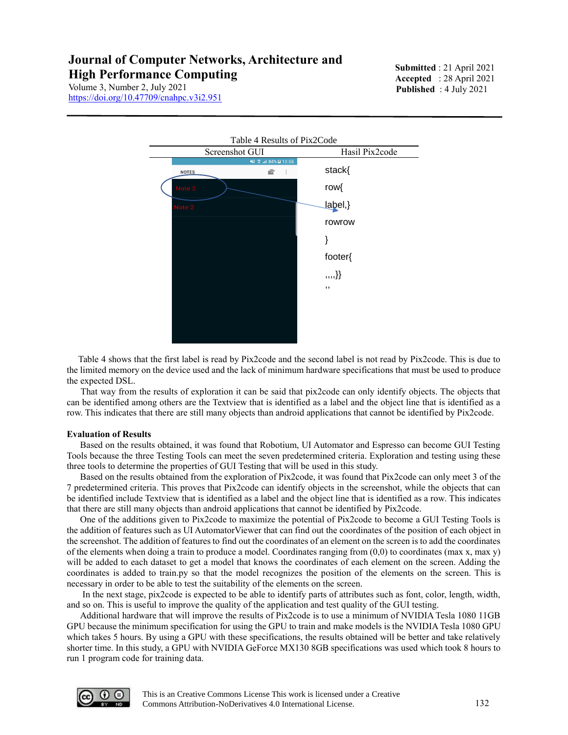**Submitted** : 21 April 2021 **Accepted** : 28 April 2021 **Published** : 4 July 2021

Volume 3, Number 2, July 2021 https://doi.org/10.47709/cnahpc.v3i2.951



 Table 4 shows that the first label is read by Pix2code and the second label is not read by Pix2code. This is due to the limited memory on the device used and the lack of minimum hardware specifications that must be used to produce the expected DSL.

 That way from the results of exploration it can be said that pix2code can only identify objects. The objects that can be identified among others are the Textview that is identified as a label and the object line that is identified as a row. This indicates that there are still many objects than android applications that cannot be identified by Pix2code.

#### **Evaluation of Results**

Based on the results obtained, it was found that Robotium, UI Automator and Espresso can become GUI Testing Tools because the three Testing Tools can meet the seven predetermined criteria. Exploration and testing using these three tools to determine the properties of GUI Testing that will be used in this study.

Based on the results obtained from the exploration of Pix2code, it was found that Pix2code can only meet 3 of the 7 predetermined criteria. This proves that Pix2code can identify objects in the screenshot, while the objects that can be identified include Textview that is identified as a label and the object line that is identified as a row. This indicates that there are still many objects than android applications that cannot be identified by Pix2code.

One of the additions given to Pix2code to maximize the potential of Pix2code to become a GUI Testing Tools is the addition of features such as UI AutomatorViewer that can find out the coordinates of the position of each object in the screenshot. The addition of features to find out the coordinates of an element on the screen is to add the coordinates of the elements when doing a train to produce a model. Coordinates ranging from (0,0) to coordinates (max x, max y) will be added to each dataset to get a model that knows the coordinates of each element on the screen. Adding the coordinates is added to train.py so that the model recognizes the position of the elements on the screen. This is necessary in order to be able to test the suitability of the elements on the screen.

In the next stage, pix2code is expected to be able to identify parts of attributes such as font, color, length, width, and so on. This is useful to improve the quality of the application and test quality of the GUI testing.

Additional hardware that will improve the results of Pix2code is to use a minimum of NVIDIA Tesla 1080 11GB GPU because the minimum specification for using the GPU to train and make models is the NVIDIA Tesla 1080 GPU which takes 5 hours. By using a GPU with these specifications, the results obtained will be better and take relatively shorter time. In this study, a GPU with NVIDIA GeForce MX130 8GB specifications was used which took 8 hours to run 1 program code for training data.

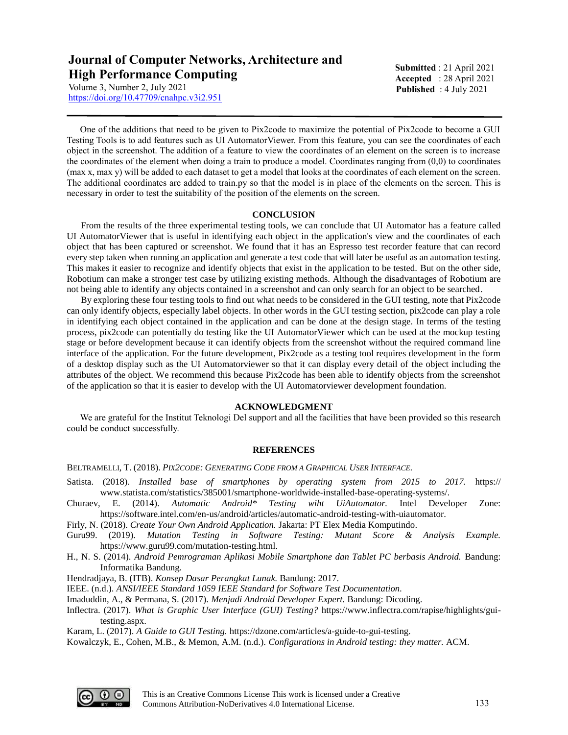https://doi.org/10.47709/cnahpc.v3i2.951

**Submitted** : 21 April 2021 **Accepted** : 28 April 2021 **Published** : 4 July 2021

One of the additions that need to be given to Pix2code to maximize the potential of Pix2code to become a GUI Testing Tools is to add features such as UI AutomatorViewer. From this feature, you can see the coordinates of each object in the screenshot. The addition of a feature to view the coordinates of an element on the screen is to increase the coordinates of the element when doing a train to produce a model. Coordinates ranging from (0,0) to coordinates (max x, max y) will be added to each dataset to get a model that looks at the coordinates of each element on the screen. The additional coordinates are added to train.py so that the model is in place of the elements on the screen. This is necessary in order to test the suitability of the position of the elements on the screen.

## **CONCLUSION**

 From the results of the three experimental testing tools, we can conclude that UI Automator has a feature called UI AutomatorViewer that is useful in identifying each object in the application's view and the coordinates of each object that has been captured or screenshot. We found that it has an Espresso test recorder feature that can record every step taken when running an application and generate a test code that will later be useful as an automation testing. This makes it easier to recognize and identify objects that exist in the application to be tested. But on the other side, Robotium can make a stronger test case by utilizing existing methods. Although the disadvantages of Robotium are not being able to identify any objects contained in a screenshot and can only search for an object to be searched.

 By exploring these four testing tools to find out what needs to be considered in the GUI testing, note that Pix2code can only identify objects, especially label objects. In other words in the GUI testing section, pix2code can play a role in identifying each object contained in the application and can be done at the design stage. In terms of the testing process, pix2code can potentially do testing like the UI AutomatorViewer which can be used at the mockup testing stage or before development because it can identify objects from the screenshot without the required command line interface of the application. For the future development, Pix2code as a testing tool requires development in the form of a desktop display such as the UI Automatorviewer so that it can display every detail of the object including the attributes of the object. We recommend this because Pix2code has been able to identify objects from the screenshot of the application so that it is easier to develop with the UI Automatorviewer development foundation.

## **ACKNOWLEDGMENT**

We are grateful for the Institut Teknologi Del support and all the facilities that have been provided so this research could be conduct successfully.

## **REFERENCES**

BELTRAMELLI, T. (2018). *PIX2CODE: GENERATING CODE FROM A GRAPHICAL USER INTERFACE.*

- Satista. (2018). *Installed base of smartphones by operating system from 2015 to 2017.* https:// www.statista.com/statistics/385001/smartphone-worldwide-installed-base-operating-systems/.
- Churaev, E. (2014). *Automatic Android\* Testing wiht UiAutomator.* Intel Developer Zone: https://software.intel.com/en-us/android/articles/automatic-android-testing-with-uiautomator.
- Firly, N. (2018). *Create Your Own Android Application.* Jakarta: PT Elex Media Komputindo.
- Guru99. (2019). *Mutation Testing in Software Testing: Mutant Score & Analysis Example.* https://www.guru99.com/mutation-testing.html.
- H., N. S. (2014). *Android Pemrograman Aplikasi Mobile Smartphone dan Tablet PC berbasis Android.* Bandung: Informatika Bandung.
- Hendradjaya, B. (ITB). *Konsep Dasar Perangkat Lunak.* Bandung: 2017.
- IEEE. (n.d.). *ANSI/IEEE Standard 1059 IEEE Standard for Software Test Documentation.*

Imaduddin, A., & Permana, S. (2017). *Menjadi Android Developer Expert.* Bandung: Dicoding.

Inflectra. (2017). *What is Graphic User Interface (GUI) Testing?* https://www.inflectra.com/rapise/highlights/guitesting.aspx.

Karam, L. (2017). *A Guide to GUI Testing.* https://dzone.com/articles/a-guide-to-gui-testing.

Kowalczyk, E., Cohen, M.B., & Memon, A.M. (n.d.). *Configurations in Android testing: they matter.* ACM.